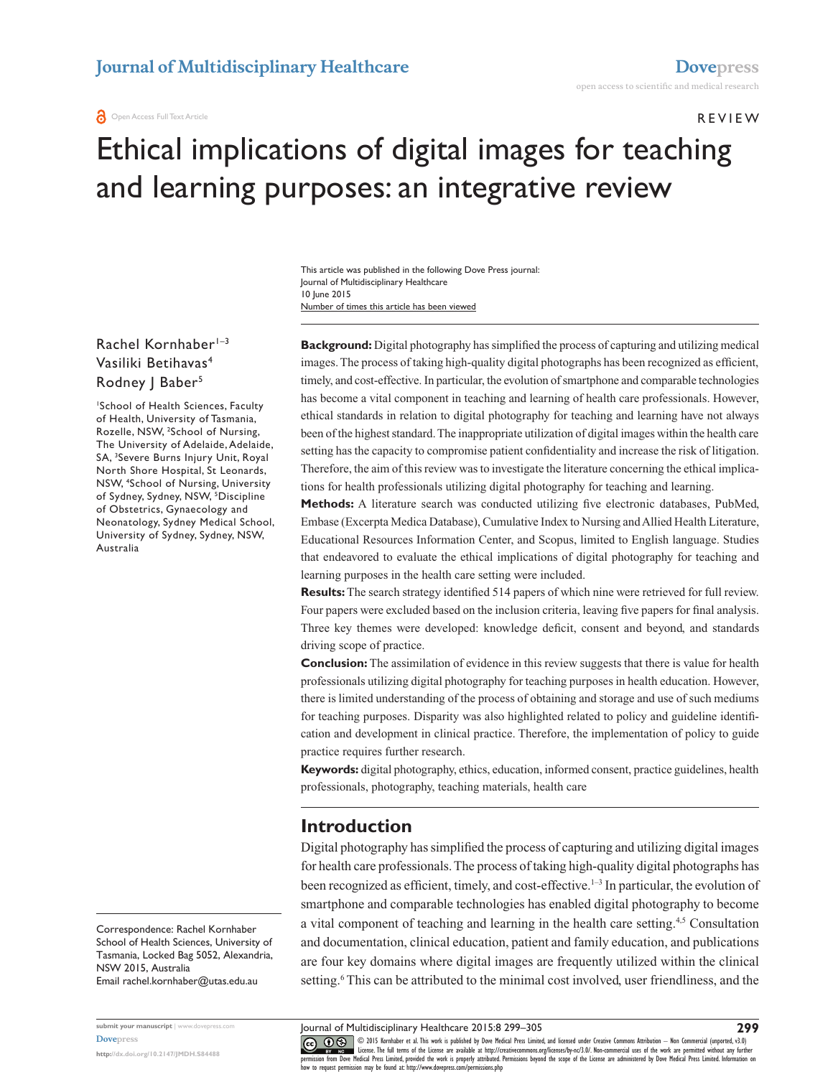#### Review

# Ethical implications of digital images for teaching and learning purposes: an integrative review

Number of times this article has been viewed This article was published in the following Dove Press journal: Journal of Multidisciplinary Healthcare 10 June 2015

#### Rachel Kornhaber<sup>1-3</sup> Vasiliki Betihavas4 Rodney | Baber<sup>5</sup>

1 School of Health Sciences, Faculty of Health, University of Tasmania, Rozelle, NSW, <sup>2</sup>School of Nursing, The University of Adelaide, Adelaide, SA, 3 Severe Burns Injury Unit, Royal North Shore Hospital, St Leonards, NSW, 4 School of Nursing, University of Sydney, Sydney, NSW, <sup>5</sup>Discipline of Obstetrics, Gynaecology and Neonatology, Sydney Medical School, University of Sydney, Sydney, NSW, Australia

Correspondence: Rachel Kornhaber School of Health Sciences, University of Tasmania, Locked Bag 5052, Alexandria, NSW 2015, Australia Email [rachel.kornhaber@utas.edu.au](mailto:rachel.kornhaber@utas.edu.au)

**submit your manuscript** | <www.dovepress.com> **[Dovepress](www.dovepress.com)**

**<http://dx.doi.org/10.2147/JMDH.S84488>**

**Background:** Digital photography has simplified the process of capturing and utilizing medical images. The process of taking high-quality digital photographs has been recognized as efficient, timely, and cost-effective. In particular, the evolution of smartphone and comparable technologies has become a vital component in teaching and learning of health care professionals. However, ethical standards in relation to digital photography for teaching and learning have not always been of the highest standard. The inappropriate utilization of digital images within the health care setting has the capacity to compromise patient confidentiality and increase the risk of litigation. Therefore, the aim of this review was to investigate the literature concerning the ethical implications for health professionals utilizing digital photography for teaching and learning.

**Methods:** A literature search was conducted utilizing five electronic databases, PubMed, Embase (Excerpta Medica Database), Cumulative Index to Nursing and Allied Health Literature, Educational Resources Information Center, and Scopus, limited to English language. Studies that endeavored to evaluate the ethical implications of digital photography for teaching and learning purposes in the health care setting were included.

**Results:** The search strategy identified 514 papers of which nine were retrieved for full review. Four papers were excluded based on the inclusion criteria, leaving five papers for final analysis. Three key themes were developed: knowledge deficit, consent and beyond, and standards driving scope of practice.

**Conclusion:** The assimilation of evidence in this review suggests that there is value for health professionals utilizing digital photography for teaching purposes in health education. However, there is limited understanding of the process of obtaining and storage and use of such mediums for teaching purposes. Disparity was also highlighted related to policy and guideline identification and development in clinical practice. Therefore, the implementation of policy to guide practice requires further research.

**Keywords:** digital photography, ethics, education, informed consent, practice guidelines, health professionals, photography, teaching materials, health care

#### **Introduction**

Digital photography has simplified the process of capturing and utilizing digital images for health care professionals. The process of taking high-quality digital photographs has been recognized as efficient, timely, and cost-effective.<sup>1–3</sup> In particular, the evolution of smartphone and comparable technologies has enabled digital photography to become a vital component of teaching and learning in the health care setting.4,5 Consultation and documentation, clinical education, patient and family education, and publications are four key domains where digital images are frequently utilized within the clinical setting.<sup>6</sup> This can be attributed to the minimal cost involved, user friendliness, and the

**299**

Journal of Multidisciplinary Healthcare 2015:8 299–305

CO ODIS Kornhaber et al. This work is published by Dove Medical Press Limited, and licensed under Creative Commons Attribution - Non Commercial (unported, v3.0)<br> [permission from Dove M](http://www.dovepress.com/permissions.php)edical Press Limited, provided the wor how to request permission may be found at:<http://www.dovepress.com/permissions.php>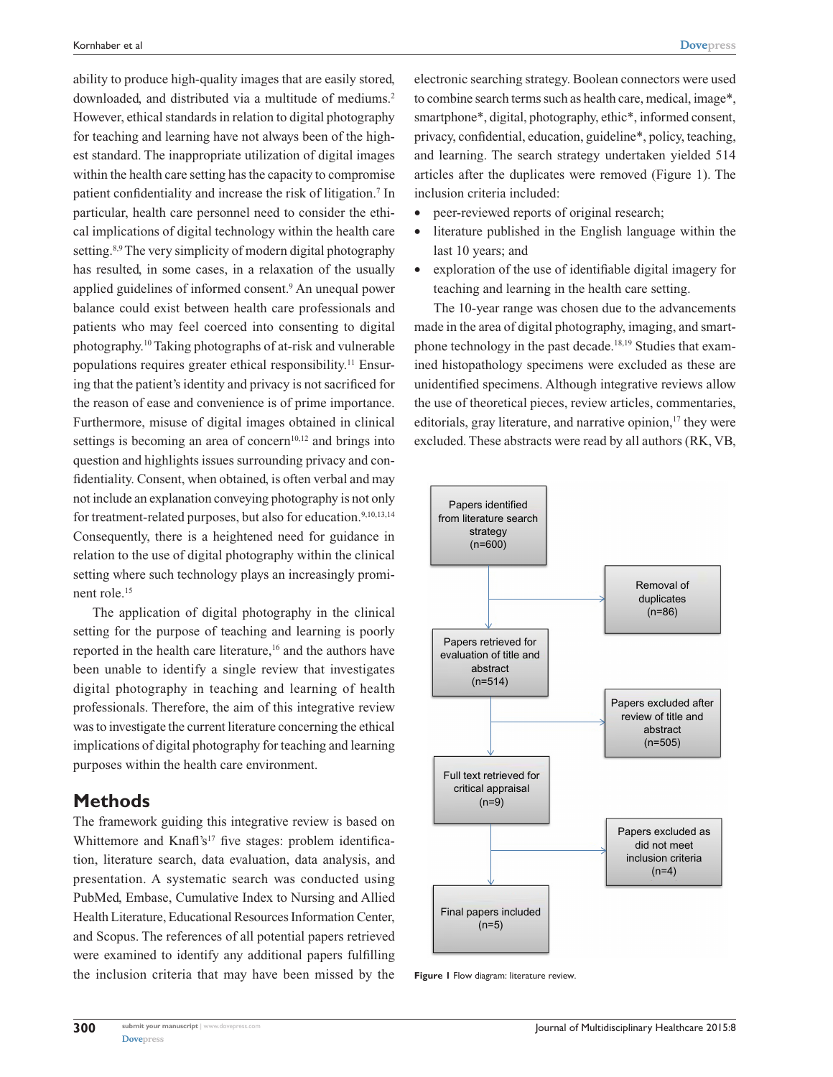ability to produce high-quality images that are easily stored, downloaded, and distributed via a multitude of mediums.<sup>2</sup> However, ethical standards in relation to digital photography for teaching and learning have not always been of the highest standard. The inappropriate utilization of digital images within the health care setting has the capacity to compromise patient confidentiality and increase the risk of litigation.<sup>7</sup> In particular, health care personnel need to consider the ethical implications of digital technology within the health care setting.<sup>8,9</sup> The very simplicity of modern digital photography has resulted, in some cases, in a relaxation of the usually applied guidelines of informed consent.9 An unequal power balance could exist between health care professionals and patients who may feel coerced into consenting to digital photography.10 Taking photographs of at-risk and vulnerable populations requires greater ethical responsibility.11 Ensuring that the patient's identity and privacy is not sacrificed for the reason of ease and convenience is of prime importance. Furthermore, misuse of digital images obtained in clinical settings is becoming an area of concern<sup>10,12</sup> and brings into question and highlights issues surrounding privacy and confidentiality. Consent, when obtained, is often verbal and may not include an explanation conveying photography is not only for treatment-related purposes, but also for education.<sup>9,10,13,14</sup> Consequently, there is a heightened need for guidance in relation to the use of digital photography within the clinical setting where such technology plays an increasingly prominent role.15

The application of digital photography in the clinical setting for the purpose of teaching and learning is poorly reported in the health care literature,<sup>16</sup> and the authors have been unable to identify a single review that investigates digital photography in teaching and learning of health professionals. Therefore, the aim of this integrative review was to investigate the current literature concerning the ethical implications of digital photography for teaching and learning purposes within the health care environment.

#### **Methods**

The framework guiding this integrative review is based on Whittemore and Knafl's<sup>17</sup> five stages: problem identification, literature search, data evaluation, data analysis, and presentation. A systematic search was conducted using PubMed, Embase, Cumulative Index to Nursing and Allied Health Literature, Educational Resources Information Center, and Scopus. The references of all potential papers retrieved were examined to identify any additional papers fulfilling the inclusion criteria that may have been missed by the electronic searching strategy. Boolean connectors were used to combine search terms such as health care, medical, image\*, smartphone\*, digital, photography, ethic\*, informed consent, privacy, confidential, education, guideline\*, policy, teaching, and learning. The search strategy undertaken yielded 514 articles after the duplicates were removed (Figure 1). The inclusion criteria included:

- peer-reviewed reports of original research;
- literature published in the English language within the last 10 years; and
- • exploration of the use of identifiable digital imagery for teaching and learning in the health care setting.

The 10-year range was chosen due to the advancements made in the area of digital photography, imaging, and smartphone technology in the past decade.18,19 Studies that examined histopathology specimens were excluded as these are unidentified specimens. Although integrative reviews allow the use of theoretical pieces, review articles, commentaries, editorials, gray literature, and narrative opinion, $17$  they were excluded. These abstracts were read by all authors (RK, VB,



**Figure 1** Flow diagram: literature review.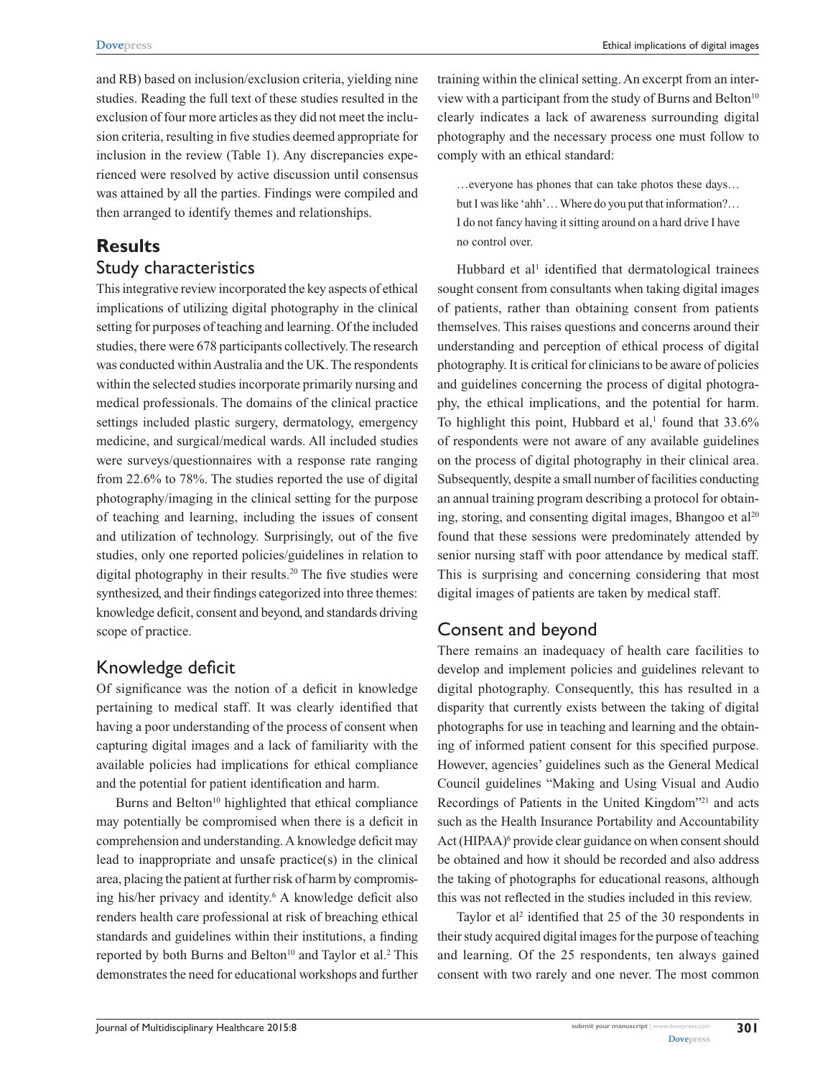and RB) based on inclusion/exclusion criteria, yielding nine studies. Reading the full text of these studies resulted in the exclusion of four more articles as they did not meet the inclusion criteria, resulting in five studies deemed appropriate for inclusion in the review (Table 1). Any discrepancies experienced were resolved by active discussion until consensus was attained by all the parties. Findings were compiled and then arranged to identify themes and relationships.

# **Results**

#### Study characteristics

This integrative review incorporated the key aspects of ethical implications of utilizing digital photography in the clinical setting for purposes of teaching and learning. Of the included studies, there were 678 participants collectively. The research was conducted within Australia and the UK. The respondents within the selected studies incorporate primarily nursing and medical professionals. The domains of the clinical practice settings included plastic surgery, dermatology, emergency medicine, and surgical/medical wards. All included studies were surveys/questionnaires with a response rate ranging from 22.6% to 78%. The studies reported the use of digital photography/imaging in the clinical setting for the purpose of teaching and learning, including the issues of consent and utilization of technology. Surprisingly, out of the five studies, only one reported policies/guidelines in relation to digital photography in their results.<sup>20</sup> The five studies were synthesized, and their findings categorized into three themes: knowledge deficit, consent and beyond, and standards driving scope of practice.

# Knowledge deficit

Of significance was the notion of a deficit in knowledge pertaining to medical staff. It was clearly identified that having a poor understanding of the process of consent when capturing digital images and a lack of familiarity with the available policies had implications for ethical compliance and the potential for patient identification and harm.

Burns and Belton<sup>10</sup> highlighted that ethical compliance may potentially be compromised when there is a deficit in comprehension and understanding. A knowledge deficit may lead to inappropriate and unsafe practice(s) in the clinical area, placing the patient at further risk of harm by compromising his/her privacy and identity.<sup>6</sup> A knowledge deficit also renders health care professional at risk of breaching ethical standards and guidelines within their institutions, a finding reported by both Burns and Belton<sup>10</sup> and Taylor et al.<sup>2</sup> This demonstrates the need for educational workshops and further

training within the clinical setting. An excerpt from an interview with a participant from the study of Burns and Belton $10$ clearly indicates a lack of awareness surrounding digital photography and the necessary process one must follow to comply with an ethical standard:

…everyone has phones that can take photos these days… but I was like 'ahh'… Where do you put that information?… I do not fancy having it sitting around on a hard drive I have no control over.

Hubbard et al<sup>1</sup> identified that dermatological trainees sought consent from consultants when taking digital images of patients, rather than obtaining consent from patients themselves. This raises questions and concerns around their understanding and perception of ethical process of digital photography. It is critical for clinicians to be aware of policies and guidelines concerning the process of digital photography, the ethical implications, and the potential for harm. To highlight this point, Hubbard et al,<sup>1</sup> found that  $33.6\%$ of respondents were not aware of any available guidelines on the process of digital photography in their clinical area. Subsequently, despite a small number of facilities conducting an annual training program describing a protocol for obtaining, storing, and consenting digital images, Bhangoo et  $al<sup>20</sup>$ found that these sessions were predominately attended by senior nursing staff with poor attendance by medical staff. This is surprising and concerning considering that most digital images of patients are taken by medical staff.

## Consent and beyond

There remains an inadequacy of health care facilities to develop and implement policies and guidelines relevant to digital photography. Consequently, this has resulted in a disparity that currently exists between the taking of digital photographs for use in teaching and learning and the obtaining of informed patient consent for this specified purpose. However, agencies' guidelines such as the General Medical Council guidelines "Making and Using Visual and Audio Recordings of Patients in the United Kingdom"21 and acts such as the Health Insurance Portability and Accountability Act (HIPAA)<sup>6</sup> provide clear guidance on when consent should be obtained and how it should be recorded and also address the taking of photographs for educational reasons, although this was not reflected in the studies included in this review.

Taylor et al<sup>2</sup> identified that 25 of the 30 respondents in their study acquired digital images for the purpose of teaching and learning. Of the 25 respondents, ten always gained consent with two rarely and one never. The most common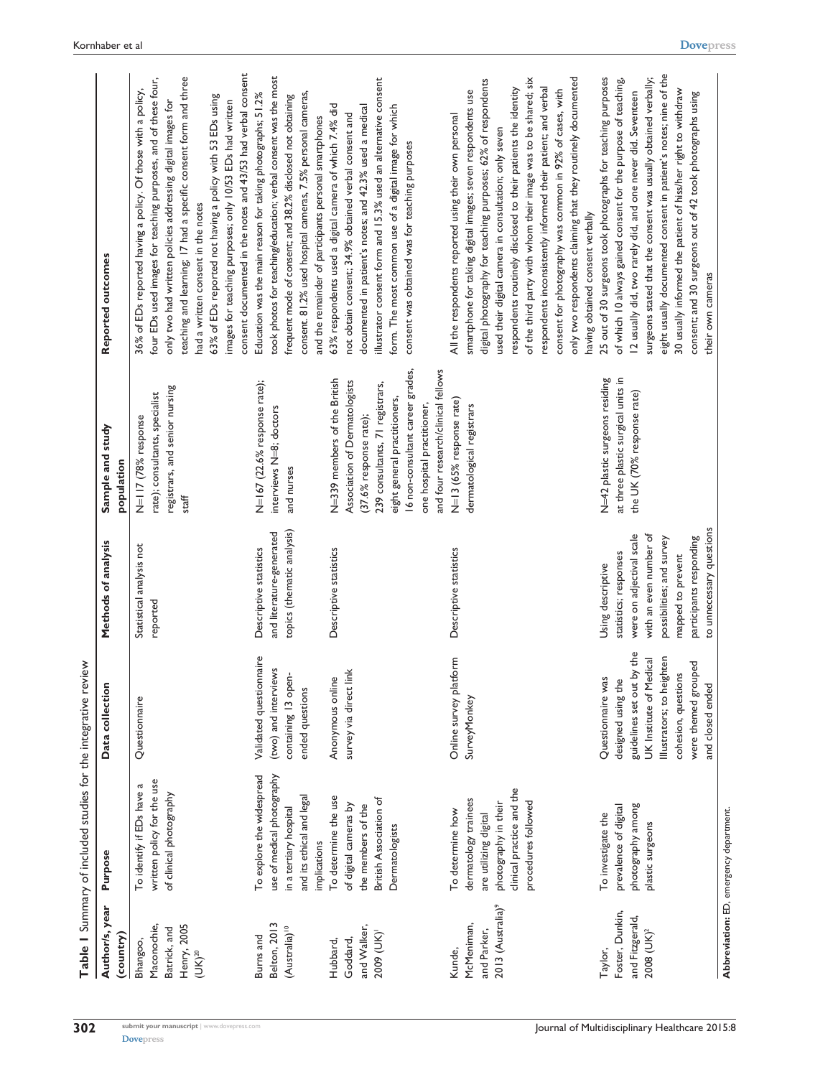|                                                                           | Table 1 Summary of included studies for the integrative review                                                                                |                                                                                                                                                                                                       |                                                                                                                                                                                                           |                                                                                                                                                                                                                                                                    |                                                                                                                                                                                                                                                                                                                                                                                                                                                                                                                                                                                                                     |
|---------------------------------------------------------------------------|-----------------------------------------------------------------------------------------------------------------------------------------------|-------------------------------------------------------------------------------------------------------------------------------------------------------------------------------------------------------|-----------------------------------------------------------------------------------------------------------------------------------------------------------------------------------------------------------|--------------------------------------------------------------------------------------------------------------------------------------------------------------------------------------------------------------------------------------------------------------------|---------------------------------------------------------------------------------------------------------------------------------------------------------------------------------------------------------------------------------------------------------------------------------------------------------------------------------------------------------------------------------------------------------------------------------------------------------------------------------------------------------------------------------------------------------------------------------------------------------------------|
| Author/s, year<br>(country)                                               | Purpose                                                                                                                                       | Data collection                                                                                                                                                                                       | Methods of analysis                                                                                                                                                                                       | Sample and study<br>population                                                                                                                                                                                                                                     | Reported outcomes                                                                                                                                                                                                                                                                                                                                                                                                                                                                                                                                                                                                   |
| Henry, 2005<br>Maconochie,<br>Batrick, and<br>Bhangoo,<br>$(UK)^{20}$     | written policy for the use<br>To identify if EDs have a<br>of clinical photography                                                            | Questionnaire                                                                                                                                                                                         | Statistical analysis not<br>reported                                                                                                                                                                      | registrars, and senior nursing<br>rate); consultants, specialist<br>N=117 (78% response<br>staff                                                                                                                                                                   | consent documented in the notes and 43/53 had verbal consent<br>teaching and learning; 17 had a specific consent form and three<br>four EDs used images for teaching purposes, and of these four,<br>36% of EDs reported having a policy. Of those with a policy,<br>63% of EDs reported not having a policy with 53 EDs using<br>images for teaching purposes; only 10/53 EDs had written<br>only two had written policies addressing digital images for<br>had a written consent in the notes                                                                                                                     |
| Belton, 2013<br>(Australia) <sup>10</sup><br>Burns and                    | To explore the widespread<br>use of medical photography<br>and its ethical and legal<br>in a tertiary hospital<br>implications                | Validated questionnaire<br>(two) and interviews<br>containing 13 open-<br>ended questions                                                                                                             | topics (thematic analysis)<br>and literature-generated<br>Descriptive statistics                                                                                                                          | N=167 (22.6% response rate);<br>interviews N=8; doctors<br>and nurses                                                                                                                                                                                              | took photos for teaching/education; verbal consent was the most<br>consent. 81.2% used hospital cameras, 7.5% personal cameras,<br>Education was the main reason for taking photographs; 51.2%<br>frequent mode of consent; and 38.2% disclosed not obtaining<br>and the remainder of participants personal smartphones                                                                                                                                                                                                                                                                                             |
| and Walker,<br>2009 (UK)<br>Goddard,<br>Hubbard,                          | To determine the use<br>British Association of<br>of digital cameras by<br>the members of the<br>Dermatologists                               | survey via direct link<br>Anonymous online                                                                                                                                                            | Descriptive statistics                                                                                                                                                                                    | 16 non-consultant career grades,<br>and four research/clinical fellows<br>N=339 members of the British<br>Association of Dermatologists<br>239 consultants, 71 registrars,<br>eight general practitioners,<br>one hospital practitioner,<br>(37.6% response rate); | illustrator consent form and 15.3% used an alternative consent<br>63% respondents used a digital camera of which 7.4% did<br>form. The most common use of a digital image for which<br>documented in patient's notes; and 42.3% used a medical<br>not obtain consent; 34.9% obtained verbal consent and<br>consent was obtained was for teaching purposes                                                                                                                                                                                                                                                           |
| 2013 (Australia) <sup>9</sup><br>McMeniman,<br>and Parker,<br>Kunde,      | clinical practice and the<br>dermatology trainees<br>procedures followed<br>photography in their<br>To determine how<br>are utilizing digital | Online survey platform<br><b>SurveyMonkey</b>                                                                                                                                                         | Descriptive statistics                                                                                                                                                                                    | N=13 (65% response rate)<br>dermatological registrars                                                                                                                                                                                                              | only two respondents claiming that they routinely documented<br>of the third party with whom their image was to be shared; six<br>digital photography for teaching purposes; 62% of respondents<br>respondents inconsistently informed their patient; and verbal<br>respondents routinely disclosed to their patients the identity<br>consent for photography was common in 92% of cases, with<br>smartphone for taking digital images; seven respondents use<br>All the respondents reported using their own personal<br>used their digital camera in consultation; only seven<br>having obtained consent verbally |
| Foster, Dunkin,<br>and Fitzgerald,<br>$2008$ (UK) <sup>2</sup><br>Taylor, | photography among<br>prevalence of digital<br>To investigate the<br>plastic surgeons                                                          | guidelines set out by the<br>Illustrators; to heighten<br><b>UK</b> Institute of Medical<br>were themed grouped<br>cohesion, questions<br>Questionnaire was<br>designed using the<br>and closed ended | to unnecessary questions<br>with an even number of<br>were on adjectival scale<br>possibilities; and survey<br>participants responding<br>statistics; responses<br>mapped to prevent<br>Using descriptive | at three plastic surgical units in<br>N=42 plastic surgeons residing<br>the UK (70% response rate)                                                                                                                                                                 | eight usually documented consent in patient's notes; nine of the<br>25 out of 30 surgeons took photographs for teaching purposes<br>surgeons stated that the consent was usually obtained verbally;<br>of which 10 always gained consent for the purpose of teaching,<br>30 usually informed the patient of hiss/her right to withdraw<br>12 usually did, two rarely did, and one never did. Seventeen<br>consent; and 30 surgeons out of 42 took photographs using<br>their own cameras                                                                                                                            |
|                                                                           | Abbreviation: ED, emergency department.                                                                                                       |                                                                                                                                                                                                       |                                                                                                                                                                                                           |                                                                                                                                                                                                                                                                    |                                                                                                                                                                                                                                                                                                                                                                                                                                                                                                                                                                                                                     |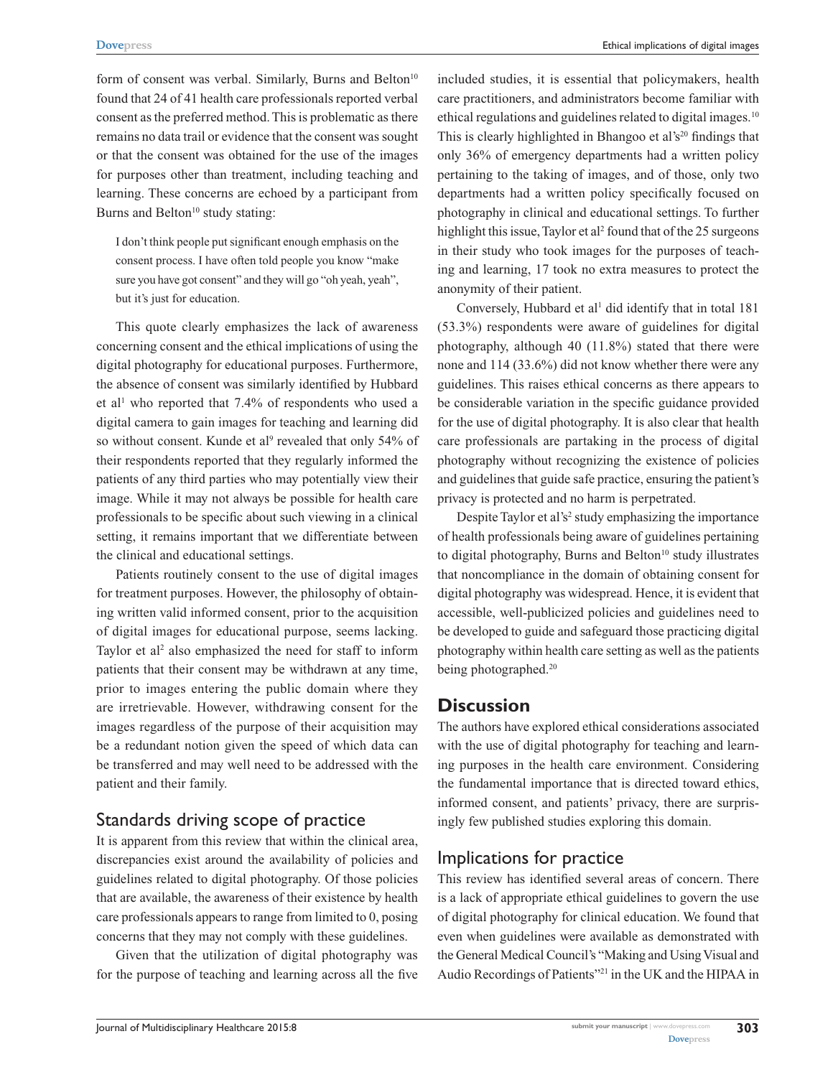form of consent was verbal. Similarly, Burns and Belton $10$ found that 24 of 41 health care professionals reported verbal consent as the preferred method. This is problematic as there remains no data trail or evidence that the consent was sought or that the consent was obtained for the use of the images for purposes other than treatment, including teaching and learning. These concerns are echoed by a participant from Burns and Belton $10$  study stating:

I don't think people put significant enough emphasis on the consent process. I have often told people you know "make sure you have got consent" and they will go "oh yeah, yeah", but it's just for education.

This quote clearly emphasizes the lack of awareness concerning consent and the ethical implications of using the digital photography for educational purposes. Furthermore, the absence of consent was similarly identified by Hubbard et al<sup>1</sup> who reported that 7.4% of respondents who used a digital camera to gain images for teaching and learning did so without consent. Kunde et al<sup>9</sup> revealed that only 54% of their respondents reported that they regularly informed the patients of any third parties who may potentially view their image. While it may not always be possible for health care professionals to be specific about such viewing in a clinical setting, it remains important that we differentiate between the clinical and educational settings.

Patients routinely consent to the use of digital images for treatment purposes. However, the philosophy of obtaining written valid informed consent, prior to the acquisition of digital images for educational purpose, seems lacking. Taylor et al<sup>2</sup> also emphasized the need for staff to inform patients that their consent may be withdrawn at any time, prior to images entering the public domain where they are irretrievable. However, withdrawing consent for the images regardless of the purpose of their acquisition may be a redundant notion given the speed of which data can be transferred and may well need to be addressed with the patient and their family.

## Standards driving scope of practice

It is apparent from this review that within the clinical area, discrepancies exist around the availability of policies and guidelines related to digital photography. Of those policies that are available, the awareness of their existence by health care professionals appears to range from limited to 0, posing concerns that they may not comply with these guidelines.

Given that the utilization of digital photography was for the purpose of teaching and learning across all the five included studies, it is essential that policymakers, health care practitioners, and administrators become familiar with ethical regulations and guidelines related to digital images.10 This is clearly highlighted in Bhangoo et al's<sup>20</sup> findings that only 36% of emergency departments had a written policy pertaining to the taking of images, and of those, only two departments had a written policy specifically focused on photography in clinical and educational settings. To further highlight this issue, Taylor et al<sup>2</sup> found that of the 25 surgeons in their study who took images for the purposes of teaching and learning, 17 took no extra measures to protect the anonymity of their patient.

Conversely, Hubbard et al<sup>1</sup> did identify that in total 181 (53.3%) respondents were aware of guidelines for digital photography, although 40 (11.8%) stated that there were none and 114 (33.6%) did not know whether there were any guidelines. This raises ethical concerns as there appears to be considerable variation in the specific guidance provided for the use of digital photography. It is also clear that health care professionals are partaking in the process of digital photography without recognizing the existence of policies and guidelines that guide safe practice, ensuring the patient's privacy is protected and no harm is perpetrated.

Despite Taylor et al's<sup>2</sup> study emphasizing the importance of health professionals being aware of guidelines pertaining to digital photography, Burns and Belton<sup>10</sup> study illustrates that noncompliance in the domain of obtaining consent for digital photography was widespread. Hence, it is evident that accessible, well-publicized policies and guidelines need to be developed to guide and safeguard those practicing digital photography within health care setting as well as the patients being photographed.<sup>20</sup>

# **Discussion**

The authors have explored ethical considerations associated with the use of digital photography for teaching and learning purposes in the health care environment. Considering the fundamental importance that is directed toward ethics, informed consent, and patients' privacy, there are surprisingly few published studies exploring this domain.

## Implications for practice

This review has identified several areas of concern. There is a lack of appropriate ethical guidelines to govern the use of digital photography for clinical education. We found that even when guidelines were available as demonstrated with the General Medical Council's "Making and Using Visual and Audio Recordings of Patients"21 in the UK and the HIPAA in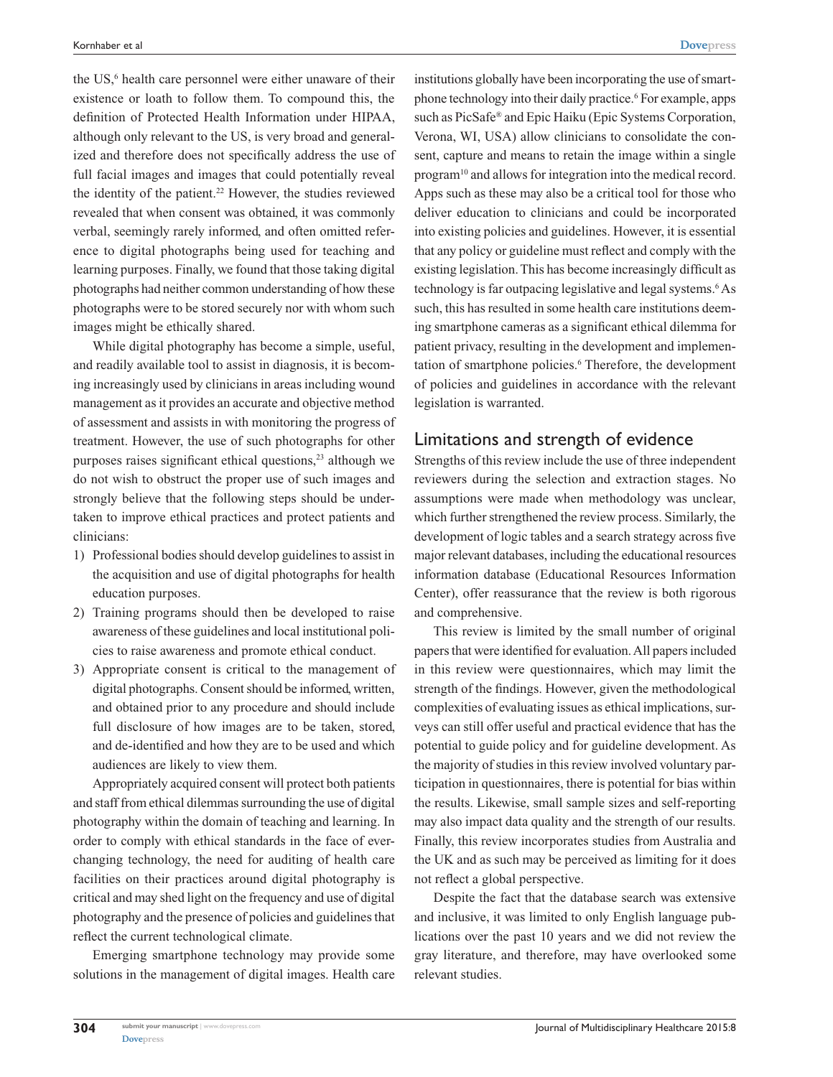the US,<sup>6</sup> health care personnel were either unaware of their existence or loath to follow them. To compound this, the definition of Protected Health Information under HIPAA, although only relevant to the US, is very broad and generalized and therefore does not specifically address the use of full facial images and images that could potentially reveal the identity of the patient.<sup>22</sup> However, the studies reviewed revealed that when consent was obtained, it was commonly verbal, seemingly rarely informed, and often omitted reference to digital photographs being used for teaching and learning purposes. Finally, we found that those taking digital photographs had neither common understanding of how these photographs were to be stored securely nor with whom such images might be ethically shared.

While digital photography has become a simple, useful, and readily available tool to assist in diagnosis, it is becoming increasingly used by clinicians in areas including wound management as it provides an accurate and objective method of assessment and assists in with monitoring the progress of treatment. However, the use of such photographs for other purposes raises significant ethical questions,<sup>23</sup> although we do not wish to obstruct the proper use of such images and strongly believe that the following steps should be undertaken to improve ethical practices and protect patients and clinicians:

- 1) Professional bodies should develop guidelines to assist in the acquisition and use of digital photographs for health education purposes.
- 2) Training programs should then be developed to raise awareness of these guidelines and local institutional policies to raise awareness and promote ethical conduct.
- 3) Appropriate consent is critical to the management of digital photographs. Consent should be informed, written, and obtained prior to any procedure and should include full disclosure of how images are to be taken, stored, and de-identified and how they are to be used and which audiences are likely to view them.

Appropriately acquired consent will protect both patients and staff from ethical dilemmas surrounding the use of digital photography within the domain of teaching and learning. In order to comply with ethical standards in the face of everchanging technology, the need for auditing of health care facilities on their practices around digital photography is critical and may shed light on the frequency and use of digital photography and the presence of policies and guidelines that reflect the current technological climate.

Emerging smartphone technology may provide some solutions in the management of digital images. Health care

institutions globally have been incorporating the use of smartphone technology into their daily practice.<sup>6</sup> For example, apps such as PicSafe® and Epic Haiku (Epic Systems Corporation, Verona, WI, USA) allow clinicians to consolidate the consent, capture and means to retain the image within a single program<sup>10</sup> and allows for integration into the medical record. Apps such as these may also be a critical tool for those who deliver education to clinicians and could be incorporated into existing policies and guidelines. However, it is essential that any policy or guideline must reflect and comply with the existing legislation. This has become increasingly difficult as technology is far outpacing legislative and legal systems.<sup>6</sup>As such, this has resulted in some health care institutions deeming smartphone cameras as a significant ethical dilemma for patient privacy, resulting in the development and implementation of smartphone policies.<sup>6</sup> Therefore, the development of policies and guidelines in accordance with the relevant legislation is warranted.

#### Limitations and strength of evidence

Strengths of this review include the use of three independent reviewers during the selection and extraction stages. No assumptions were made when methodology was unclear, which further strengthened the review process. Similarly, the development of logic tables and a search strategy across five major relevant databases, including the educational resources information database (Educational Resources Information Center), offer reassurance that the review is both rigorous and comprehensive.

This review is limited by the small number of original papers that were identified for evaluation. All papers included in this review were questionnaires, which may limit the strength of the findings. However, given the methodological complexities of evaluating issues as ethical implications, surveys can still offer useful and practical evidence that has the potential to guide policy and for guideline development. As the majority of studies in this review involved voluntary participation in questionnaires, there is potential for bias within the results. Likewise, small sample sizes and self-reporting may also impact data quality and the strength of our results. Finally, this review incorporates studies from Australia and the UK and as such may be perceived as limiting for it does not reflect a global perspective.

Despite the fact that the database search was extensive and inclusive, it was limited to only English language publications over the past 10 years and we did not review the gray literature, and therefore, may have overlooked some relevant studies.